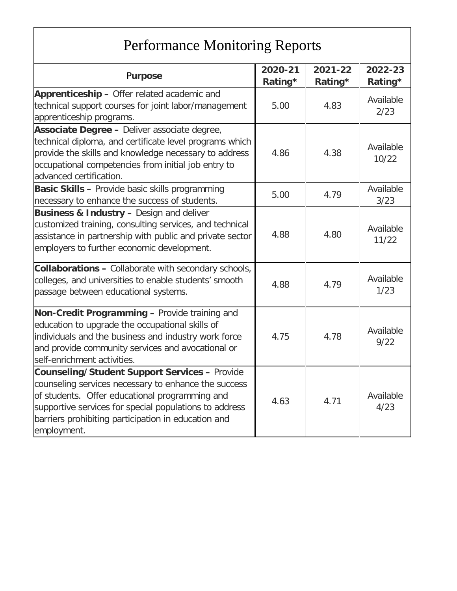## Performance Monitoring Reports

| Purpose                                                                                                                                                                                                                                                                                        | 2020-21<br>Rating* | 2021-22<br>Rating* | 2022-23<br>Rating* |
|------------------------------------------------------------------------------------------------------------------------------------------------------------------------------------------------------------------------------------------------------------------------------------------------|--------------------|--------------------|--------------------|
| Apprenticeship - Offer related academic and<br>technical support courses for joint labor/management<br>apprenticeship programs.                                                                                                                                                                | 5.00               | 4.83               | Available<br>2/23  |
| Associate Degree - Deliver associate degree,<br>technical diploma, and certificate level programs which<br>provide the skills and knowledge necessary to address<br>occupational competencies from initial job entry to<br>advanced certification.                                             | 4.86               | 4.38               | Available<br>10/22 |
| <b>Basic Skills - Provide basic skills programming</b><br>necessary to enhance the success of students.                                                                                                                                                                                        | 5.00               | 4.79               | Available<br>3/23  |
| <b>Business &amp; Industry - Design and deliver</b><br>customized training, consulting services, and technical<br>assistance in partnership with public and private sector<br>employers to further economic development.                                                                       | 4.88               | 4.80               | Available<br>11/22 |
| <b>Collaborations - Collaborate with secondary schools,</b><br>colleges, and universities to enable students' smooth<br>passage between educational systems.                                                                                                                                   | 4.88               | 4.79               | Available<br>1/23  |
| Non-Credit Programming - Provide training and<br>education to upgrade the occupational skills of<br>individuals and the business and industry work force<br>and provide community services and avocational or<br>self-enrichment activities.                                                   | 4.75               | 4.78               | Available<br>9/22  |
| <b>Counseling/Student Support Services - Provide</b><br>counseling services necessary to enhance the success<br>of students. Offer educational programming and<br>supportive services for special populations to address<br>barriers prohibiting participation in education and<br>employment. | 4.63               | 4.71               | Available<br>4/23  |